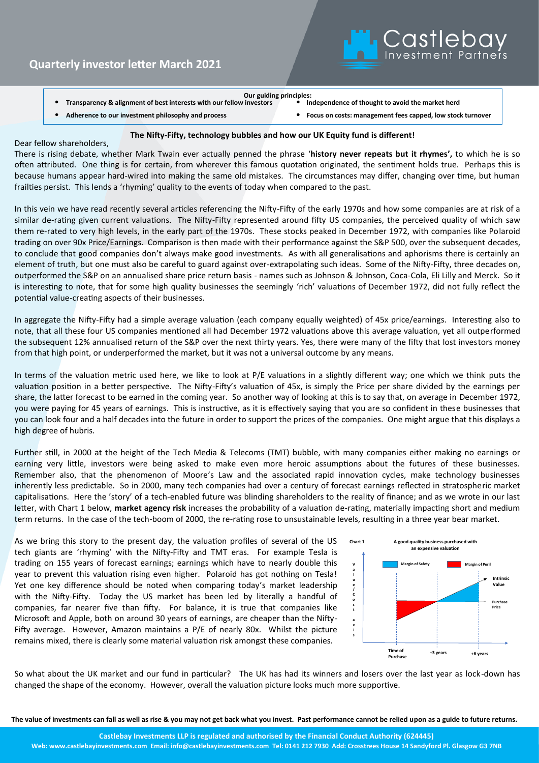

**Transparency & alignment of best interests with our fellow investors** 

**Our guiding principles:**

- **Adherence to our investment philosophy and process** • **Focus on costs: management fees capped, low stock turnover**
- 

## **The Nifty-Fifty, technology bubbles and how our UK Equity fund is different!**

Dear fellow shareholders,

There is rising debate, whether Mark Twain ever actually penned the phrase '**history never repeats but it rhymes',** to which he is so often attributed. One thing is for certain, from wherever this famous quotation originated, the sentiment holds true. Perhaps this is because humans appear hard-wired into making the same old mistakes. The circumstances may differ, changing over time, but human frailties persist. This lends a 'rhyming' quality to the events of today when compared to the past.

In this vein we have read recently several articles referencing the Nifty-Fifty of the early 1970s and how some companies are at risk of a similar de-rating given current valuations. The Nifty-Fifty represented around fifty US companies, the perceived quality of which saw them re-rated to very high levels, in the early part of the 1970s. These stocks peaked in December 1972, with companies like Polaroid trading on over 90x Price/Earnings. Comparison is then made with their performance against the S&P 500, over the subsequent decades, to conclude that good companies don't always make good investments. As with all generalisations and aphorisms there is certainly an element of truth, but one must also be careful to guard against over-extrapolating such ideas. Some of the Nifty-Fifty, three decades on, outperformed the S&P on an annualised share price return basis - names such as Johnson & Johnson, Coca-Cola, Eli Lilly and Merck. So it is interesting to note, that for some high quality businesses the seemingly 'rich' valuations of December 1972, did not fully reflect the potential value-creating aspects of their businesses.

In aggregate the Nifty-Fifty had a simple average valuation (each company equally weighted) of 45x price/earnings. Interesting also to note, that all these four US companies mentioned all had December 1972 valuations above this average valuation, yet all outperformed the subsequent 12% annualised return of the S&P over the next thirty years. Yes, there were many of the fifty that lost investors money from that high point, or underperformed the market, but it was not a universal outcome by any means.

In terms of the valuation metric used here, we like to look at P/E valuations in a slightly different way; one which we think puts the valuation position in a better perspective. The Nifty-Fifty's valuation of 45x, is simply the Price per share divided by the earnings per share, the latter forecast to be earned in the coming year. So another way of looking at this is to say that, on average in December 1972, you were paying for 45 years of earnings. This is instructive, as it is effectively saying that you are so confident in these businesses that you can look four and a half decades into the future in order to support the prices of the companies. One might argue that this displays a high degree of hubris.

Further still, in 2000 at the height of the Tech Media & Telecoms (TMT) bubble, with many companies either making no earnings or earning very little, investors were being asked to make even more heroic assumptions about the futures of these businesses. Remember also, that the phenomenon of Moore's Law and the associated rapid innovation cycles, make technology businesses inherently less predictable. So in 2000, many tech companies had over a century of forecast earnings reflected in stratospheric market capitalisations. Here the 'story' of a tech-enabled future was blinding shareholders to the reality of finance; and as we wrote in our last letter, with Chart 1 below, **market agency risk** increases the probability of a valuation de-rating, materially impacting short and medium term returns. In the case of the tech-boom of 2000, the re-rating rose to unsustainable levels, resulting in a three year bear market.

As we bring this story to the present day, the valuation profiles of several of the US tech giants are 'rhyming' with the Nifty-Fifty and TMT eras. For example Tesla is trading on 155 years of forecast earnings; earnings which have to nearly double this year to prevent this valuation rising even higher. Polaroid has got nothing on Tesla! Yet one key difference should be noted when comparing today's market leadership with the Nifty-Fifty. Today the US market has been led by literally a handful of companies, far nearer five than fifty. For balance, it is true that companies like Microsoft and Apple, both on around 30 years of earnings, are cheaper than the Nifty-Fifty average. However, Amazon maintains a P/E of nearly 80x. Whilst the picture remains mixed, there is clearly some material valuation risk amongst these companies.



So what about the UK market and our fund in particular? The UK has had its winners and losers over the last year as lock-down has changed the shape of the economy. However, overall the valuation picture looks much more supportive.

**The value of investments can fall as well as rise & you may not get back what you invest. Past performance cannot be relied upon as a guide to future returns.**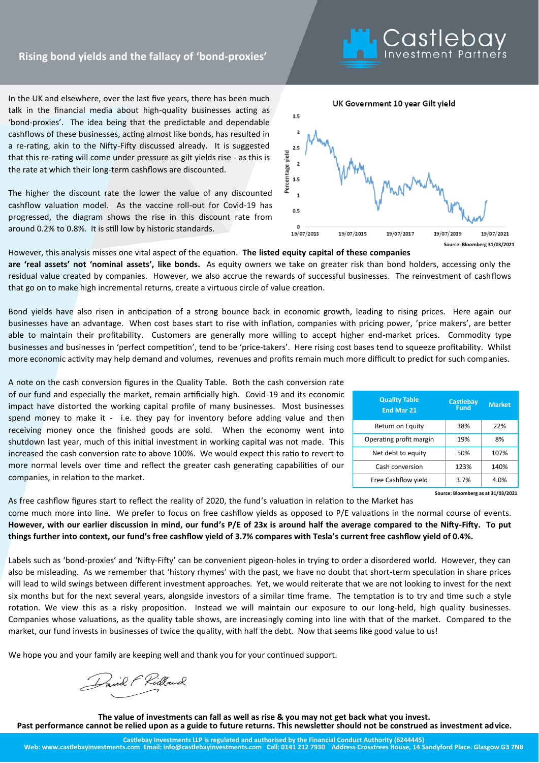## **In Focus Rising bond yields and the fallacy of 'bond-proxies'**

In the UK and elsewhere, over the last five years, there has been much talk in the financial media about high-quality businesses acting as 'bond-proxies'. The idea being that the predictable and dependable cashflows of these businesses, acting almost like bonds, has resulted in a re-rating, akin to the Nifty-Fifty discussed already. It is suggested that this re-rating will come under pressure as gilt yields rise - as this is the rate at which their long-term cashflows are discounted.

The higher the discount rate the lower the value of any discounted cashflow valuation model. As the vaccine roll-out for Covid-19 has progressed, the diagram shows the rise in this discount rate from around 0.2% to 0.8%. It is still low by historic standards.

However, this analysis misses one vital aspect of the equation. **The listed equity capital of these companies are 'real assets' not 'nominal assets', like bonds.** As equity owners we take on greater risk than bond holders, accessing only the residual value created by companies. However, we also accrue the rewards of successful businesses. The reinvestment of cashflows that go on to make high incremental returns, create a virtuous circle of value creation.

Bond yields have also risen in anticipation of a strong bounce back in economic growth, leading to rising prices. Here again our businesses have an advantage. When cost bases start to rise with inflation, companies with pricing power, 'price makers', are better able to maintain their profitability. Customers are generally more willing to accept higher end-market prices. Commodity type businesses and businesses in 'perfect competition', tend to be 'price-takers'. Here rising cost bases tend to squeeze profitability. Whilst more economic activity may help demand and volumes, revenues and profits remain much more difficult to predict for such companies.

A note on the cash conversion figures in the Quality Table. Both the cash conversion rate of our fund and especially the market, remain artificially high. Covid-19 and its economic impact have distorted the working capital profile of many businesses. Most businesses spend money to make it - i.e. they pay for inventory before adding value and then receiving money once the finished goods are sold. When the economy went into shutdown last year, much of this initial investment in working capital was not made. This increased the cash conversion rate to above 100%. We would expect this ratio to revert to more normal levels over time and reflect the greater cash generating capabilities of our companies, in relation to the market.

As free cashflow figures start to reflect the reality of 2020, the fund's valuation in relation to the Market has come much more into line. We prefer to focus on free cashflow yields as opposed to P/E valuations in the normal course of events. **However, with our earlier discussion in mind, our fund's P/E of 23x is around half the average compared to the Nifty-Fifty. To put things further into context, our fund's free cashflow yield of 3.7% compares with Tesla's current free cashflow yield of 0.4%.** 

Labels such as 'bond-proxies' and 'Nifty-Fifty' can be convenient pigeon-holes in trying to order a disordered world. However, they can also be misleading. As we remember that 'history rhymes' with the past, we have no doubt that short-term speculation in share prices will lead to wild swings between different investment approaches. Yet, we would reiterate that we are not looking to invest for the next six months but for the next several years, alongside investors of a similar time frame. The temptation is to try and time such a style rotation. We view this as a risky proposition. Instead we will maintain our exposure to our long-held, high quality businesses. Companies whose valuations, as the quality table shows, are increasingly coming into line with that of the market. Compared to the market, our fund invests in businesses of twice the quality, with half the debt. Now that seems like good value to us!

We hope you and your family are keeping well and thank you for your continued support.

David F Ridland

**The value of investments can fall as well as rise & you may not get back what you invest. Past performance cannot be relied upon as a guide to future returns. This newsletter should not be construed as investment advice.**